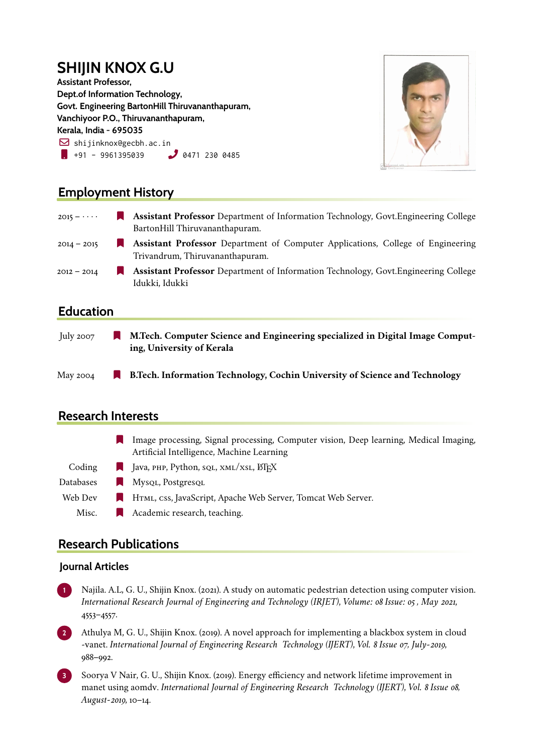# **SHIJIN KNOX G.U**

**Assistant Professor, Dept.of Information Technology, Govt. Engineering BartonHill Thiruvananthapuram, Vanchiyoor P.O., Thiruvananthapuram, Kerala, India - 695035**  $\boxdot$  shijinknox@gecbh.ac.in  $\blacksquare$  +91 - 9961395039  $\blacksquare$  0471 230 0485

Idukki, Idukki



## **Employment History**

| $2015 - \cdots$ | <b>Assistant Professor</b> Department of Information Technology, Govt. Engineering College<br>BartonHill Thiruvananthapuram. |
|-----------------|------------------------------------------------------------------------------------------------------------------------------|
| $2014 - 2015$   | <b>Assistant Professor</b> Department of Computer Applications, College of Engineering<br>Trivandrum, Thiruvananthapuram.    |
| $2012 - 2014$   | <b>Assistant Professor</b> Department of Information Technology, Govt. Engineering College                                   |

#### **Education**

| July 2007 | M.Tech. Computer Science and Engineering specialized in Digital Image Comput-<br>ing, University of Kerala |
|-----------|------------------------------------------------------------------------------------------------------------|
| May 2004  | <b>B.Tech. Information Technology, Cochin University of Science and Technology</b>                         |

## **Research Interests**

| Image processing, Signal processing, Computer vision, Deep learning, Medical Imaging, |
|---------------------------------------------------------------------------------------|
| Artificial Intelligence, Machine Learning                                             |

- Coding  $\Box$  Java, PHP, Python, sql, XML/XSL, LATEX
- Databases Mysql, Postgresql
- Web Dev **I** HTML, css, JavaScript, Apache Web Server, Tomcat Web Server.
	- Misc. **A** Academic research, teaching.

## **Research Publications**

#### **Journal Articles**

**<sup>1</sup>** Najila. A.L, G. U., Shijin Knox. (2021). A study on automatic pedestrian detection using computer vision. *International Research Journal of Engineering and Technology (IRJET)*, *Volume: 08 Issue: 05 , May 2021*, 4553–4557.

**<sup>2</sup>** Athulya M, G. U., Shijin Knox. (2019). A novel approach for implementing a blackbox system in cloud -vanet. *International Journal of Engineering Research Technology (IJERT)*, *Vol. 8 Issue 07, July-2019*, 988–992.

**<sup>3</sup>** Soorya V Nair, G. U., Shijin Knox. (2019). Energy efficiency and network lifetime improvement in manet using aomdv. *International Journal of Engineering Research Technology (IJERT)*, *Vol. 8 Issue 08, August-2019*, 10–14.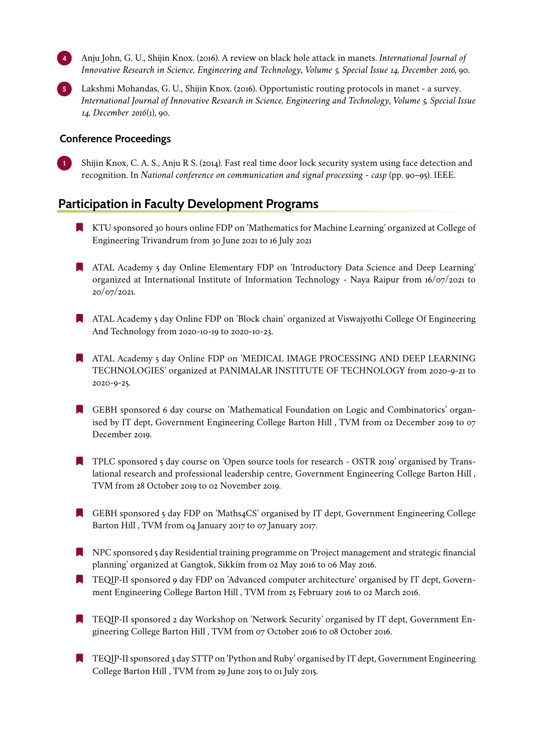**<sup>4</sup>** Anju John, G. U., Shijin Knox. (2016). A review on black hole attack in manets. *International Journal of Innovative Research in Science, Engineering and Technology*, *Volume 5, Special Issue 14, December 2016*, 90.

**<sup>5</sup>** Lakshmi Mohandas, G. U., Shijin Knox. (2016). Opportunistic routing protocols in manet - a survey. *International Journal of Innovative Research in Science, Engineering and Technology*, *Volume 5, Special Issue 14, December 2016*(1), 90.

#### **Conference Proceedings**

**<sup>1</sup>** Shijin Knox, C. A. S., Anju R S. (2014). Fast real time door lock security system using face detection and recognition. In *National conference on communication and signal processing - casp* (pp. 90–95). IEEE.

#### **Participation in Faculty Development Programs**

- [ KTU sponsored 30 hours online FDP on 'Mathematics for Machine Learning' organized at College of Engineering Trivandrum from 30 June 2021 to 16 July 2021
- **ATAL Academy 5 day Online Elementary FDP on 'Introductory Data Science and Deep Learning'** organized at International Institute of Information Technology - Naya Raipur from 16/07/2021 to 20/07/2021.
- [ ATAL Academy 5 day Online FDP on 'Block chain' organized at Viswajyothi College Of Engineering And Technology from 2020-10-19 to 2020-10-23.
- **ATAL Academy 5 day Online FDP on 'MEDICAL IMAGE PROCESSING AND DEEP LEARNING** TECHNOLOGIES' organized at PANIMALAR INSTITUTE OF TECHNOLOGY from 2020-9-21 to 2020-9-25.
- [ GEBH sponsored 6 day course on 'Mathematical Foundation on Logic and Combinatorics' organised by IT dept, Government Engineering College Barton Hill , TVM from 02 December 2019 to 07 December 2019.
- [ TPLC sponsored 5 day course on 'Open source tools for research OSTR 2019' organised by Translational research and professional leadership centre, Government Engineering College Barton Hill , TVM from 28 October 2019 to 02 November 2019.
- [ GEBH sponsored 5 day FDP on 'Maths4CS' organised by IT dept, Government Engineering College Barton Hill , TVM from 04 January 2017 to 07 January 2017.
- **NPC** sponsored 5 day Residential training programme on 'Project management and strategic financial planning' organized at Gangtok, Sikkim from 02 May 2016 to 06 May 2016.
- [ TEQIP-II sponsored 9 day FDP on 'Advanced computer architecture' organised by IT dept, Government Engineering College Barton Hill , TVM from 25 February 2016 to 02 March 2016.
- [ TEQIP-II sponsored 2 day Workshop on 'Network Security' organised by IT dept, Government Engineering College Barton Hill, TVM from 07 October 2016 to 08 October 2016.
- [ TEQIP-II sponsored 3 day STTP on 'Python and Ruby' organised by IT dept, Government Engineering College Barton Hill , TVM from 29 June 2015 to 01 July 2015.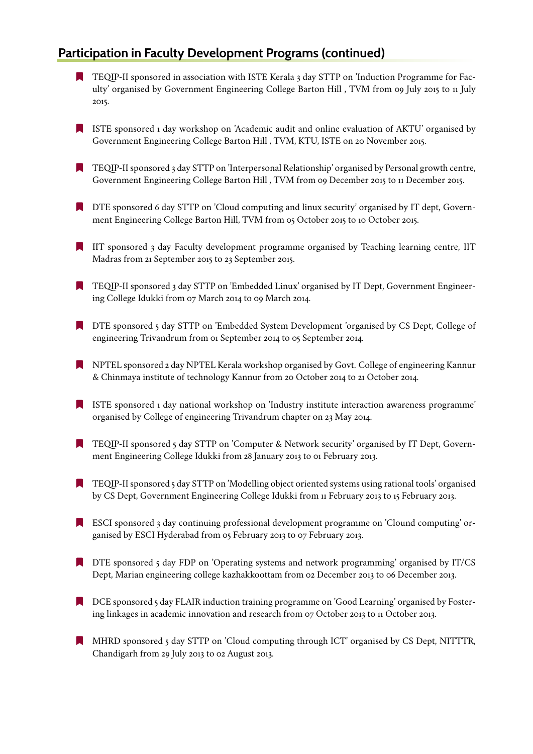## **Participation in Faculty Development Programs (continued)**

- **TEQIP-II sponsored in association with ISTE Kerala 3 day STTP on 'Induction Programme for Fac**ulty' organised by Government Engineering College Barton Hill , TVM from 09 July 2015 to 11 July 2015.
- [ ISTE sponsored 1 day workshop on 'Academic audit and online evaluation of AKTU' organised by Government Engineering College Barton Hill , TVM, KTU, ISTE on 20 November 2015.
- [ TEQIP-II sponsored 3 day STTP on 'Interpersonal Relationship' organised by Personal growth centre, Government Engineering College Barton Hill , TVM from 09 December 2015 to 11 December 2015.
- [ DTE sponsored 6 day STTP on 'Cloud computing and linux security' organised by IT dept, Government Engineering College Barton Hill, TVM from 05 October 2015 to 10 October 2015.
- **IIT** sponsored 3 day Faculty development programme organised by Teaching learning centre, IIT Madras from 21 September 2015 to 23 September 2015.
- [ TEQIP-II sponsored 3 day STTP on 'Embedded Linux' organised by IT Dept, Government Engineering College Idukki from 07 March 2014 to 09 March 2014.
- [ DTE sponsored 5 day STTP on 'Embedded System Development 'organised by CS Dept, College of engineering Trivandrum from 01 September 2014 to 05 September 2014.
- [ NPTEL sponsored 2 day NPTEL Kerala workshop organised by Govt. College of engineering Kannur & Chinmaya institute of technology Kannur from 20 October 2014 to 21 October 2014.
- [ ISTE sponsored 1 day national workshop on 'Industry institute interaction awareness programme' organised by College of engineering Trivandrum chapter on 23 May 2014.
- [ TEQIP-II sponsored 5 day STTP on 'Computer & Network security' organised by IT Dept, Government Engineering College Idukki from 28 January 2013 to 01 February 2013.
- [ TEQIP-II sponsored 5 day STTP on 'Modelling object oriented systems using rational tools' organised by CS Dept, Government Engineering College Idukki from 11 February 2013 to 15 February 2013.
- [ ESCI sponsored 3 day continuing professional development programme on 'Clound computing' organised by ESCI Hyderabad from 05 February 2013 to 07 February 2013.
- [ DTE sponsored 5 day FDP on 'Operating systems and network programming' organised by IT/CS Dept, Marian engineering college kazhakkoottam from 02 December 2013 to 06 December 2013.
- **[ DCE** sponsored 5 day FLAIR induction training programme on 'Good Learning' organised by Fostering linkages in academic innovation and research from 07 October 2013 to 11 October 2013.
- [ MHRD sponsored 5 day STTP on 'Cloud computing through ICT' organised by CS Dept, NITTTR, Chandigarh from 29 July 2013 to 02 August 2013.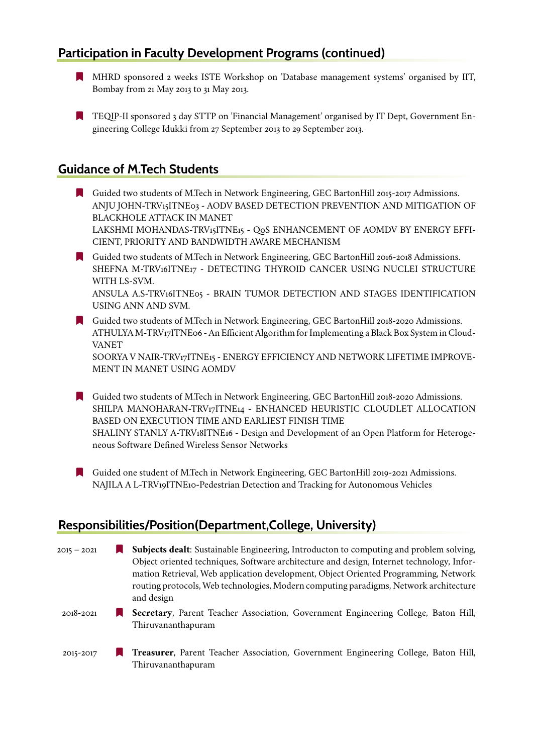## **Participation in Faculty Development Programs (continued)**

- [ MHRD sponsored 2 weeks ISTE Workshop on 'Database management systems' organised by IIT, Bombay from 21 May 2013 to 31 May 2013.
- [ TEQIP-II sponsored 3 day STTP on 'Financial Management' organised by IT Dept, Government Engineering College Idukki from 27 September 2013 to 29 September 2013.

### **Guidance of M.Tech Students**

- [ Guided two students of M.Tech in Network Engineering, GEC BartonHill 2015-2017 Admissions. ANJU JOHN-TRV15ITNE03 - AODV BASED DETECTION PREVENTION AND MITIGATION OF BLACKHOLE ATTACK IN MANET LAKSHMI MOHANDAS-TRV15ITNE15 - QoS ENHANCEMENT OF AOMDV BY ENERGY EFFI-CIENT, PRIORITY AND BANDWIDTH AWARE MECHANISM
- [ Guided two students of M.Tech in Network Engineering, GEC BartonHill 2016-2018 Admissions. SHEFNA M-TRV16ITNE17 - DETECTING THYROID CANCER USING NUCLEI STRUCTURE WITH LS-SVM. ANSULA A.S-TRV16ITNE05 - BRAIN TUMOR DETECTION AND STAGES IDENTIFICATION USING ANN AND SVM.
- [ Guided two students of M.Tech in Network Engineering, GEC BartonHill 2018-2020 Admissions. ATHULYA M-TRV17ITNE06 - An Efficient Algorithm for Implementing a Black Box System in Cloud-VANET

SOORYA V NAIR-TRV17ITNE15 - ENERGY EFFICIENCY AND NETWORK LIFETIME IMPROVE-MENT IN MANET USING AOMDV

[ Guided two students of M.Tech in Network Engineering, GEC BartonHill 2018-2020 Admissions. SHILPA MANOHARAN-TRV17ITNE14 - ENHANCED HEURISTIC CLOUDLET ALLOCATION BASED ON EXECUTION TIME AND EARLIEST FINISH TIME SHALINY STANLY A-TRV18ITNE16 - Design and Development of an Open Platform for Heterogeneous Software Defined Wireless Sensor Networks

[ Guided one student of M.Tech in Network Engineering, GEC BartonHill 2019-2021 Admissions. NAJILA A L-TRV19ITNE10-Pedestrian Detection and Tracking for Autonomous Vehicles

## **Responsibilities/Position(Department,College, University)**

2015 – 2021 [ **Subjects dealt**: Sustainable Engineering, Introducton to computing and problem solving, Object oriented techniques, Software architecture and design, Internet technology, Information Retrieval, Web application development, Object Oriented Programming, Network routing protocols, Web technologies, Modern computing paradigms, Network architecture and design 2018-2021 [ **Secretary**, Parent Teacher Association, Government Engineering College, Baton Hill, Thiruvananthapuram 2015-2017 [ **Treasurer**, Parent Teacher Association, Government Engineering College, Baton Hill, Thiruvananthapuram